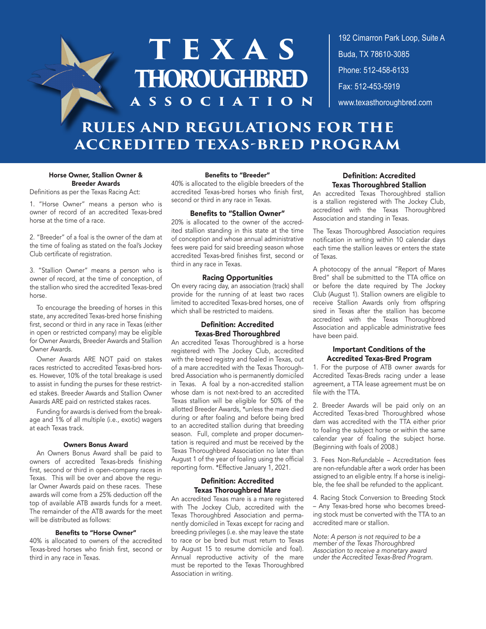# **TEXAS thoroughbred association**

192 Cimarron Park Loop, Suite A **Austin, Texas 78761** Buda, TX 78610-3085 **Phone: 512-458-6133** Phone: 512-458-6133 **Fax: 512-453-5919** Fax: 512-453-5919<br>www.texasthoroughbred.com

# **RULES AND REGULATIONS FOR THE ACCREDITED TEXAS-BRED PROGRAM**

#### Horse Owner, Stallion Owner & Breeder Awards

Definitions as per the Texas Racing Act:

1. "Horse Owner" means a person who is owner of record of an accredited Texas-bred horse at the time of a race.

2. "Breeder" of a foal is the owner of the dam at the time of foaling as stated on the foal's Jockey Club certificate of registration.

3. "Stallion Owner" means a person who is owner of record, at the time of conception, of the stallion who sired the accredited Texas-bred horse.

To encourage the breeding of horses in this state, any accredited Texas-bred horse finishing first, second or third in any race in Texas (either in open or restricted company) may be eligible for Owner Awards, Breeder Awards and Stallion Owner Awards.

Owner Awards ARE NOT paid on stakes races restricted to accredited Texas-bred horses. However, 10% of the total breakage is used to assist in funding the purses for these restricted stakes. Breeder Awards and Stallion Owner Awards ARE paid on restricted stakes races.

Funding for awards is derived from the breakage and 1% of all multiple (i.e., exotic) wagers at each Texas track.

#### Owners Bonus Award

An Owners Bonus Award shall be paid to owners of accredited Texas-breds finishing first, second or third in open-company races in Texas. This will be over and above the regular Owner Awards paid on these races. These awards will come from a 25% deduction off the top of available ATB awards funds for a meet. The remainder of the ATB awards for the meet will be distributed as follows:

### Benefits to "Horse Owner"

40% is allocated to owners of the accredited Texas-bred horses who finish first, second or third in any race in Texas.

#### Benefits to "Breeder"

40% is allocated to the eligible breeders of the accredited Texas-bred horses who finish first, second or third in any race in Texas.

#### Benefits to "Stallion Owner"

20% is allocated to the owner of the accredited stallion standing in this state at the time of conception and whose annual administrative fees were paid for said breeding season whose accredited Texas-bred finishes first, second or third in any race in Texas.

#### Racing Opportunities

On every racing day, an association (track) shall provide for the running of at least two races limited to accredited Texas-bred horses, one of which shall be restricted to maidens.

#### Definition: Accredited Texas-Bred Thoroughbred

An accredited Texas Thoroughbred is a horse registered with The Jockey Club, accredited with the breed registry and foaled in Texas, out of a mare accredited with the Texas Thoroughbred Association who is permanently domiciled in Texas. A foal by a non-accredited stallion whose dam is not next-bred to an accredited Texas stallion will be eligible for 50% of the allotted Breeder Awards, \*unless the mare died during or after foaling and before being bred to an accredited stallion during that breeding season. Full, complete and proper documentation is required and must be received by the Texas Thoroughbred Association no later than August 1 of the year of foaling using the official reporting form. \*Effective January 1, 2021.

#### Definition: Accredited Texas Thoroughbred Mare

An accredited Texas mare is a mare registered with The Jockey Club, accredited with the Texas Thoroughbred Association and permanently domiciled in Texas except for racing and breeding privileges (i.e. she may leave the state to race or be bred but must return to Texas by August 15 to resume domicile and foal). Annual reproductive activity of the mare must be reported to the Texas Thoroughbred Association in writing.

#### Definition: Accredited Texas Thoroughbred Stallion

An accredited Texas Thoroughbred stallion is a stallion registered with The Jockey Club, accredited with the Texas Thoroughbred Association and standing in Texas.

The Texas Thoroughbred Association requires notification in writing within 10 calendar days each time the stallion leaves or enters the state of Texas.

A photocopy of the annual "Report of Mares Bred" shall be submitted to the TTA office on or before the date required by The Jockey Club (August 1). Stallion owners are eligible to receive Stallion Awards only from offspring sired in Texas after the stallion has become accredited with the Texas Thoroughbred Association and applicable administrative fees have been paid.

#### Important Conditions of the Accredited Texas-Bred Program

1. For the purpose of ATB owner awards for Accredited Texas-Breds racing under a lease agreement, a TTA lease agreement must be on file with the TTA.

2. Breeder Awards will be paid only on an Accredited Texas-bred Thoroughbred whose dam was accredited with the TTA either prior to foaling the subject horse or within the same calendar year of foaling the subject horse. (Beginning with foals of 2008.)

3. Fees Non-Refundable – Accreditation fees are non-refundable after a work order has been assigned to an eligible entry. If a horse is ineligible, the fee shall be refunded to the applicant.

4. Racing Stock Conversion to Breeding Stock – Any Texas-bred horse who becomes breeding stock must be converted with the TTA to an accredited mare or stallion.

*Note: A person is not required to be a member of the Texas Thoroughbred Association to receive a monetary award under the Accredited Texas-Bred Program.*